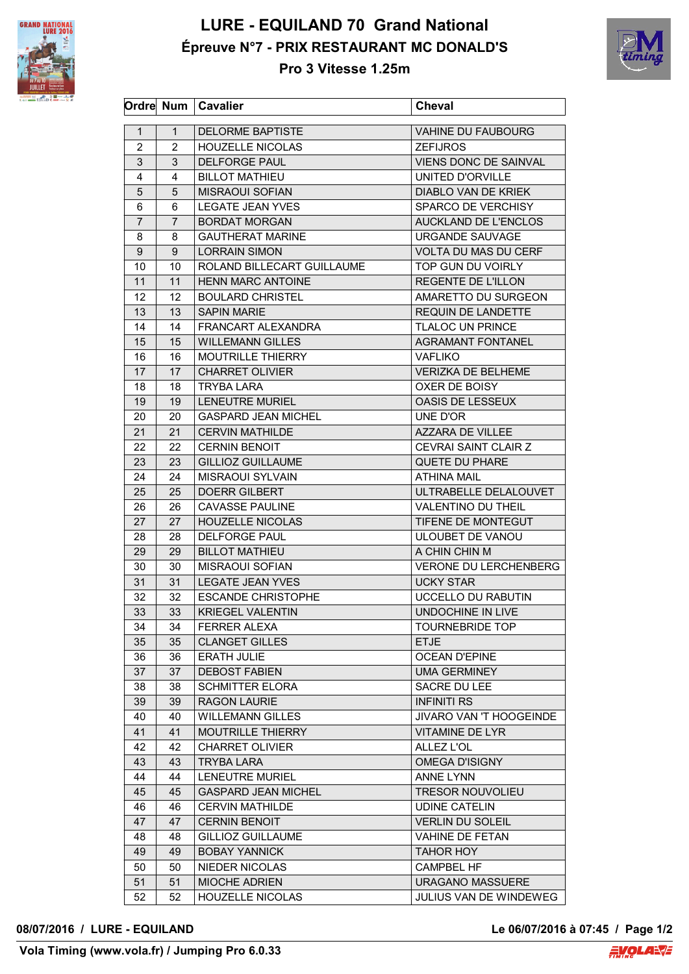

## **LURE - EQUILAND 70 Grand National Épreuve N°7 - PRIX RESTAURANT MC DONALD'S**



**Pro 3 Vitesse 1.25m**

|                   |                | Ordre Num   Cavalier                               | <b>Cheval</b>                            |
|-------------------|----------------|----------------------------------------------------|------------------------------------------|
|                   | $\mathbf{1}$   |                                                    |                                          |
| $\mathbf{1}$<br>2 | 2              | <b>DELORME BAPTISTE</b><br><b>HOUZELLE NICOLAS</b> | <b>VAHINE DU FAUBOURG</b>                |
| 3                 | 3              | <b>DELFORGE PAUL</b>                               | <b>ZEFIJROS</b><br>VIENS DONC DE SAINVAL |
|                   |                |                                                    |                                          |
| 4                 | 4              | <b>BILLOT MATHIEU</b>                              | UNITED D'ORVILLE                         |
| 5                 | 5              | <b>MISRAOUI SOFIAN</b>                             | DIABLO VAN DE KRIEK                      |
| 6                 | 6              | <b>LEGATE JEAN YVES</b>                            | SPARCO DE VERCHISY                       |
| $\overline{7}$    | $\overline{7}$ | <b>BORDAT MORGAN</b>                               | AUCKLAND DE L'ENCLOS                     |
| 8                 | 8              | <b>GAUTHERAT MARINE</b>                            | URGANDE SAUVAGE                          |
| 9                 | 9              | <b>LORRAIN SIMON</b>                               | <b>VOLTA DU MAS DU CERF</b>              |
| 10                | 10             | ROLAND BILLECART GUILLAUME                         | TOP GUN DU VOIRLY                        |
| 11                | 11             | HENN MARC ANTOINE                                  | REGENTE DE L'ILLON                       |
| 12                | 12             | <b>BOULARD CHRISTEL</b>                            | AMARETTO DU SURGEON                      |
| 13                | 13             | <b>SAPIN MARIE</b>                                 | REQUIN DE LANDETTE                       |
| 14                | 14             | FRANCART ALEXANDRA                                 | <b>TLALOC UN PRINCE</b>                  |
| 15                | 15             | <b>WILLEMANN GILLES</b>                            | <b>AGRAMANT FONTANEL</b>                 |
| 16                | 16             | <b>MOUTRILLE THIERRY</b>                           | <b>VAFLIKO</b>                           |
| 17                | 17             | <b>CHARRET OLIVIER</b>                             | <b>VERIZKA DE BELHEME</b>                |
| 18                | 18             | TRYBA LARA                                         | OXER DE BOISY                            |
| 19                | 19             | <b>LENEUTRE MURIEL</b>                             | OASIS DE LESSEUX                         |
| 20                | 20             | <b>GASPARD JEAN MICHEL</b>                         | UNE D'OR                                 |
| 21                | 21             | <b>CERVIN MATHILDE</b>                             | AZZARA DE VILLEE                         |
| 22                | 22             | <b>CERNIN BENOIT</b>                               | CEVRAI SAINT CLAIR Z                     |
| 23                | 23             | <b>GILLIOZ GUILLAUME</b>                           | <b>QUETE DU PHARE</b>                    |
| 24                | 24             | <b>MISRAOUI SYLVAIN</b>                            | <b>ATHINA MAIL</b>                       |
| 25                | 25             | <b>DOERR GILBERT</b>                               | ULTRABELLE DELALOUVET                    |
| 26                | 26             | <b>CAVASSE PAULINE</b>                             | <b>VALENTINO DU THEIL</b>                |
| 27                | 27             | <b>HOUZELLE NICOLAS</b>                            | TIFENE DE MONTEGUT                       |
| 28                | 28             | <b>DELFORGE PAUL</b>                               | ULOUBET DE VANOU                         |
| 29                | 29             | <b>BILLOT MATHIEU</b>                              | A CHIN CHIN M                            |
| 30                | 30             | <b>MISRAOUI SOFIAN</b>                             | <b>VERONE DU LERCHENBERG</b>             |
| 31                | 31             | <b>LEGATE JEAN YVES</b>                            | <b>UCKY STAR</b>                         |
| 32                | 32             | <b>ESCANDE CHRISTOPHE</b>                          | UCCELLO DU RABUTIN                       |
| 33                | 33             | <b>KRIEGEL VALENTIN</b>                            | <b>UNDOCHINE IN LIVE</b>                 |
| 34                | 34             | <b>FERRER ALEXA</b>                                | <b>TOURNEBRIDE TOP</b>                   |
| 35                | 35             | <b>CLANGET GILLES</b>                              | <b>ETJE</b>                              |
| 36                | 36             | <b>ERATH JULIE</b>                                 | <b>OCEAN D'EPINE</b>                     |
| 37                | 37             | <b>DEBOST FABIEN</b>                               | <b>UMA GERMINEY</b>                      |
| 38                | 38             | <b>SCHMITTER ELORA</b>                             | SACRE DU LEE                             |
| 39                | 39             | <b>RAGON LAURIE</b>                                | <b>INFINITI RS</b>                       |
| 40                | 40             | <b>WILLEMANN GILLES</b>                            | <b>JIVARO VAN 'T HOOGEINDE</b>           |
| 41                | 41             | MOUTRILLE THIERRY                                  | <b>VITAMINE DE LYR</b>                   |
| 42                | 42             | <b>CHARRET OLIVIER</b>                             | ALLEZ L'OL                               |
| 43                | 43             | <b>TRYBA LARA</b>                                  | OMEGA D'ISIGNY                           |
| 44                | 44             | LENEUTRE MURIEL                                    | <b>ANNE LYNN</b>                         |
| 45                | 45             | <b>GASPARD JEAN MICHEL</b>                         | <b>TRESOR NOUVOLIEU</b>                  |
| 46                | 46             | <b>CERVIN MATHILDE</b>                             | <b>UDINE CATELIN</b>                     |
| 47                | 47             | <b>CERNIN BENOIT</b>                               | <b>VERLIN DU SOLEIL</b>                  |
| 48                | 48             | <b>GILLIOZ GUILLAUME</b>                           | <b>VAHINE DE FETAN</b>                   |
| 49                | 49             | <b>BOBAY YANNICK</b>                               | <b>TAHOR HOY</b>                         |
| 50                | 50             | NIEDER NICOLAS                                     | <b>CAMPBEL HF</b>                        |
|                   |                |                                                    |                                          |
| 51                | 51             | <b>MIOCHE ADRIEN</b>                               | URAGANO MASSUERE                         |
| 52                | 52             | <b>HOUZELLE NICOLAS</b>                            | JULIUS VAN DE WINDEWEG                   |